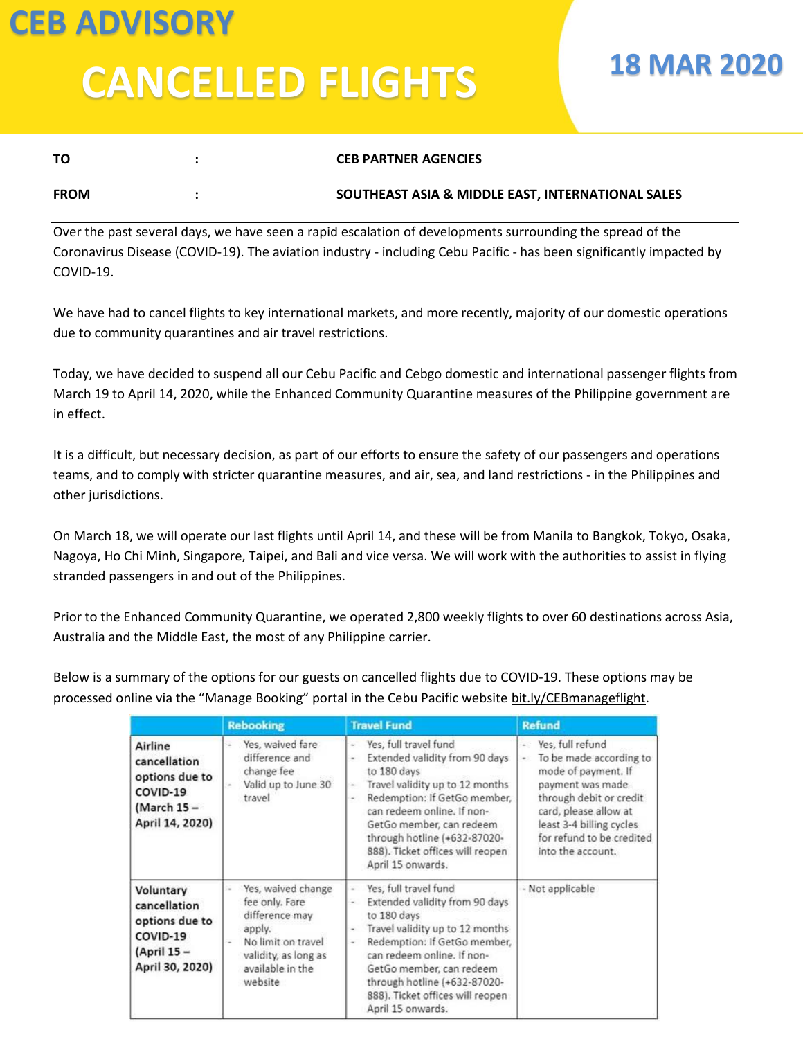## **CEB ADVISORY CANCELLED FLIGHTS**

## **18 MAR 2020**

| ΤО          | <b>CEB PARTNER AGENCIES</b>                       |
|-------------|---------------------------------------------------|
| <b>FROM</b> | SOUTHEAST ASIA & MIDDLE EAST, INTERNATIONAL SALES |

Over the past several days, we have seen a rapid escalation of developments surrounding the spread of the Coronavirus Disease (COVID-19). The aviation industry - including Cebu Pacific - has been significantly impacted by COVID-19.

We have had to cancel flights to key international markets, and more recently, majority of our domestic operations due to community quarantines and air travel restrictions.

Today, we have decided to suspend all our Cebu Pacific and Cebgo domestic and international passenger flights from March 19 to April 14, 2020, while the Enhanced Community Quarantine measures of the Philippine government are in effect.

It is a difficult, but necessary decision, as part of our efforts to ensure the safety of our passengers and operations teams, and to comply with stricter quarantine measures, and air, sea, and land restrictions - in the Philippines and other jurisdictions.

On March 18, we will operate our last flights until April 14, and these will be from Manila to Bangkok, Tokyo, Osaka, Nagoya, Ho Chi Minh, Singapore, Taipei, and Bali and vice versa. We will work with the authorities to assist in flying stranded passengers in and out of the Philippines.

Prior to the Enhanced Community Quarantine, we operated 2,800 weekly flights to over 60 destinations across Asia, Australia and the Middle East, the most of any Philippine carrier.

Below is a summary of the options for our guests on cancelled flights due to COVID-19. These options may be processed online via the "Manage Booking" portal in the Cebu Pacific website [bit.ly/CEBmanageflight.](http://click.email.mycebupacific.com/?qs=0769c0d04949b86ecd3ec081cc247c9a5ceda86707e56b3ea8799fbe78805b4a09f3f7db7707ef045f2e30d241573fa8d1aa3dde8cbbbfd7)

|                                                                                           | <b>Rebooking</b>                                                                                                                              | <b>Travel Fund</b>                                                                                                                                                                                                                                                                                                                            | <b>Refund</b>                                                                                                                                                                                                                                          |
|-------------------------------------------------------------------------------------------|-----------------------------------------------------------------------------------------------------------------------------------------------|-----------------------------------------------------------------------------------------------------------------------------------------------------------------------------------------------------------------------------------------------------------------------------------------------------------------------------------------------|--------------------------------------------------------------------------------------------------------------------------------------------------------------------------------------------------------------------------------------------------------|
| Airline<br>cancellation<br>options due to<br>COVID-19<br>(March 15 -<br>April 14, 2020)   | - Yes, waived fare<br>difference and<br>change fee<br>Valid up to June 30<br>travel                                                           | Yes, full travel fund<br>×.<br>Extended validity from 90 days<br>×.<br>to 180 days<br>Travel validity up to 12 months<br>$\sim$<br>Redemption: If GetGo member,<br>$\sim$<br>can redeem online. If non-<br>GetGo member, can redeem<br>through hotline (+632-87020-<br>888). Ticket offices will reopen<br>April 15 onwards.                  | Yes, full refund<br>$\ddot{\phantom{1}}$<br>To be made according to<br>×.<br>mode of payment. If<br>payment was made<br>through debit or credit<br>card, please allow at<br>least 3-4 billing cycles<br>for refund to be credited<br>into the account. |
| Voluntary<br>cancellation<br>options due to<br>COVID-19<br>(April 15 -<br>April 30, 2020) | Yes, waived change<br>fee only. Fare<br>difference may<br>apply.<br>No limit on travel<br>validity, as long as<br>available in the<br>website | Yes, full travel fund<br>÷.<br>Extended validity from 90 days<br>÷<br>to 180 days<br>Travel validity up to 12 months<br>$\overline{\phantom{a}}$<br>Redemption: If GetGo member,<br>$\sim$<br>can redeem online. If non-<br>GetGo member, can redeem<br>through hotline (+632-87020-<br>888). Ticket offices will reopen<br>April 15 onwards. | - Not applicable                                                                                                                                                                                                                                       |